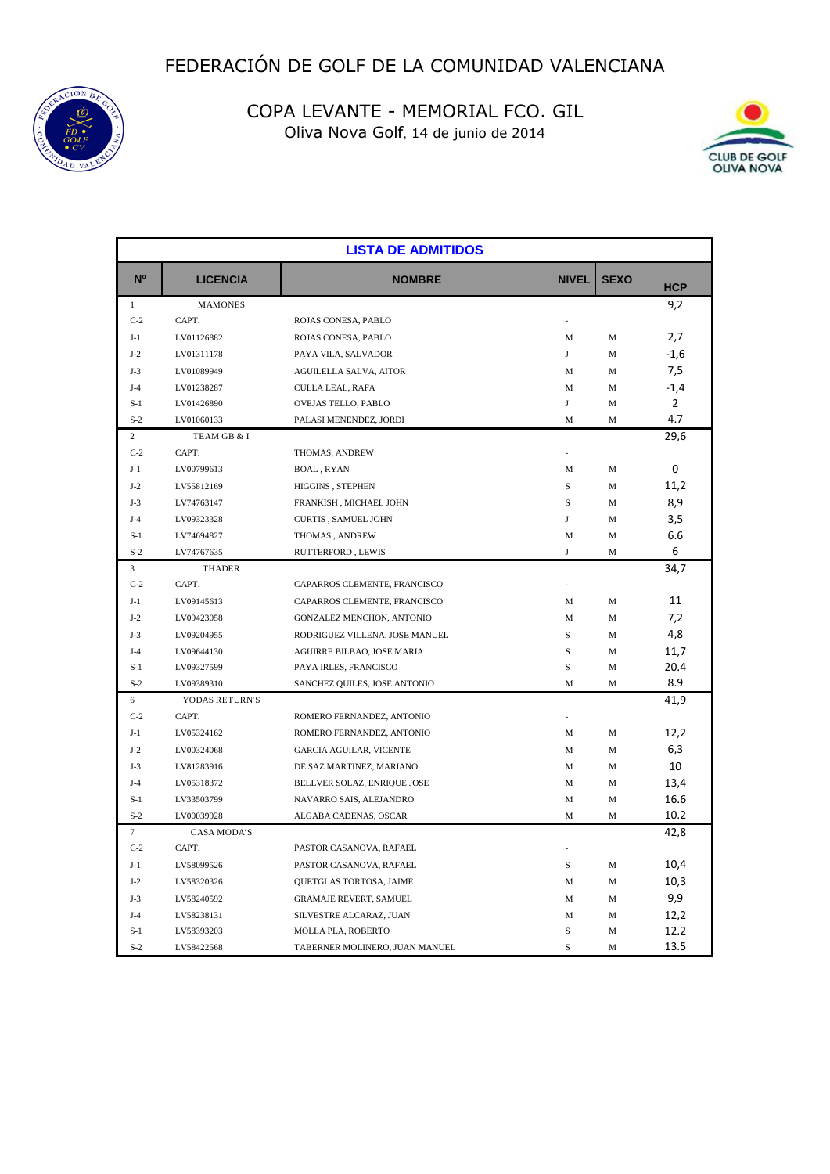



| <b>LISTA DE ADMITIDOS</b> |                    |                                |              |             |                |  |
|---------------------------|--------------------|--------------------------------|--------------|-------------|----------------|--|
| N <sup>o</sup>            | <b>LICENCIA</b>    | <b>NOMBRE</b>                  | <b>NIVEL</b> | <b>SEXO</b> | <b>HCP</b>     |  |
| $\mathbf{1}$              | <b>MAMONES</b>     |                                |              |             | 9,2            |  |
| $C-2$                     | CAPT.              | ROJAS CONESA, PABLO            |              |             |                |  |
| $J-1$                     | LV01126882         | ROJAS CONESA, PABLO            | M            | M           | 2,7            |  |
| $J-2$                     | LV01311178         | PAYA VILA, SALVADOR            | J            | M           | $-1,6$         |  |
| $J-3$                     | LV01089949         | <b>AGUILELLA SALVA, AITOR</b>  | M            | M           | 7,5            |  |
| $J-4$                     | LV01238287         | CULLA LEAL, RAFA               | M            | M           | $-1,4$         |  |
| $S-1$                     | LV01426890         | OVEJAS TELLO, PABLO            | J            | M           | $\overline{2}$ |  |
| $S-2$                     | LV01060133         | PALASI MENENDEZ, JORDI         | M            | M           | 4.7            |  |
| 2                         | TEAM GB & I        |                                |              |             | 29,6           |  |
| $C-2$                     | CAPT.              | THOMAS, ANDREW                 |              |             |                |  |
| $J-1$                     | LV00799613         | <b>BOAL, RYAN</b>              | M            | M           | 0              |  |
| $J-2$                     | LV55812169         | HIGGINS, STEPHEN               | S            | M           | 11,2           |  |
| $J-3$                     | LV74763147         | FRANKISH, MICHAEL JOHN         | S            | M           | 8,9            |  |
| $J-4$                     | LV09323328         | <b>CURTIS, SAMUEL JOHN</b>     | J            | M           | 3,5            |  |
| $S-1$                     | LV74694827         | THOMAS, ANDREW                 | M            | M           | 6.6            |  |
| $S-2$                     | LV74767635         | RUTTERFORD, LEWIS              | J            | M           | 6              |  |
| 3                         | <b>THADER</b>      |                                |              |             | 34,7           |  |
| $C-2$                     | CAPT.              | CAPARROS CLEMENTE, FRANCISCO   |              |             |                |  |
| $J-1$                     | LV09145613         | CAPARROS CLEMENTE, FRANCISCO   | M            | M           | 11             |  |
| $J-2$                     | LV09423058         | GONZALEZ MENCHON, ANTONIO      | М            | M           | 7,2            |  |
| $J-3$                     | LV09204955         | RODRIGUEZ VILLENA, JOSE MANUEL | S            | M           | 4,8            |  |
| $J-4$                     | LV09644130         | AGUIRRE BILBAO, JOSE MARIA     | $\rm S$      | M           | 11,7           |  |
| $S-1$                     | LV09327599         | PAYA IRLES, FRANCISCO          | S            | M           | 20.4           |  |
| $S-2$                     | LV09389310         | SANCHEZ QUILES, JOSE ANTONIO   | M            | M           | 8.9            |  |
| 6                         | YODAS RETURN'S     |                                |              |             | 41,9           |  |
| $C-2$                     | CAPT.              | ROMERO FERNANDEZ, ANTONIO      |              |             |                |  |
| $J-1$                     | LV05324162         | ROMERO FERNANDEZ, ANTONIO      | М            | M           | 12,2           |  |
| $J-2$                     | LV00324068         | <b>GARCIA AGUILAR, VICENTE</b> | М            | M           | 6,3            |  |
| $J-3$                     | LV81283916         | DE SAZ MARTINEZ, MARIANO       | М            | M           | 10             |  |
| $J-4$                     | LV05318372         | BELLVER SOLAZ, ENRIQUE JOSE    | М            | M           | 13,4           |  |
| $S-1$                     | LV33503799         | NAVARRO SAIS, ALEJANDRO        | М            | M           | 16.6           |  |
| $S-2$                     | LV00039928         | ALGABA CADENAS, OSCAR          | M            | M           | 10.2           |  |
| $\tau$                    | <b>CASA MODA'S</b> |                                |              |             | 42,8           |  |
| $C-2$                     | CAPT.              | PASTOR CASANOVA, RAFAEL        |              |             |                |  |
| $J-1$                     | LV58099526         | PASTOR CASANOVA, RAFAEL        | S            | M           | 10,4           |  |
| $J-2$                     | LV58320326         | QUETGLAS TORTOSA, JAIME        | M            | M           | 10,3           |  |
| $J-3$                     | LV58240592         | <b>GRAMAJE REVERT, SAMUEL</b>  | M            | M           | 9,9            |  |
| $J-4$                     | LV58238131         | SILVESTRE ALCARAZ, JUAN        | M            | M           | 12,2           |  |
| $S-1$                     | LV58393203         | MOLLA PLA, ROBERTO             | S            | M           | 12.2           |  |
| $S-2$                     | LV58422568         | TABERNER MOLINERO, JUAN MANUEL | S            | M           | 13.5           |  |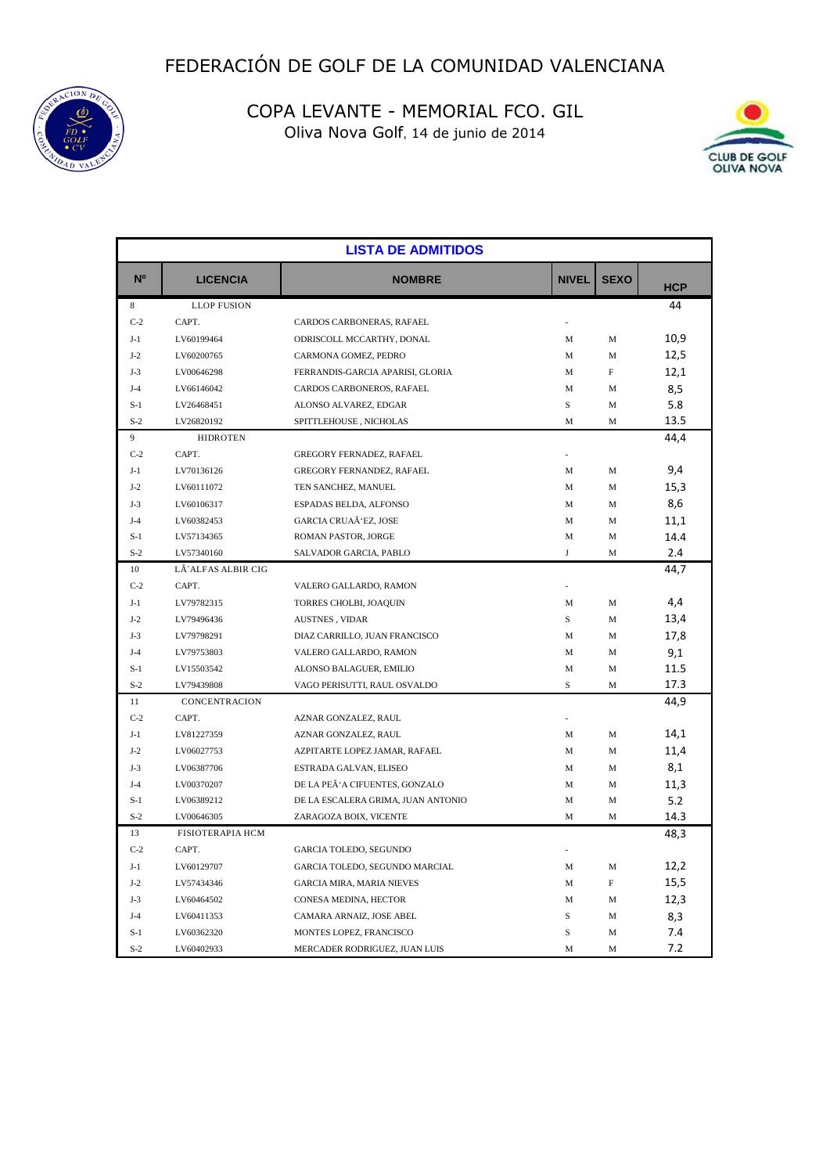



| <b>LISTA DE ADMITIDOS</b> |                         |                                    |              |             |            |  |
|---------------------------|-------------------------|------------------------------------|--------------|-------------|------------|--|
| N <sup>o</sup>            | <b>LICENCIA</b>         | <b>NOMBRE</b>                      | <b>NIVEL</b> | <b>SEXO</b> | <b>HCP</b> |  |
| 8                         | <b>LLOP FUSION</b>      |                                    |              |             | 44         |  |
| $C-2$                     | CAPT.                   | CARDOS CARBONERAS, RAFAEL          |              |             |            |  |
| $J-1$                     | LV60199464              | ODRISCOLL MCCARTHY, DONAL          | М            | M           | 10,9       |  |
| $J-2$                     | LV60200765              | CARMONA GOMEZ, PEDRO               | М            | M           | 12,5       |  |
| $J-3$                     | LV00646298              | FERRANDIS-GARCIA APARISI, GLORIA   | М            | F           | 12,1       |  |
| $J-4$                     | LV66146042              | CARDOS CARBONEROS, RAFAEL          | М            | М           | 8,5        |  |
| $S-1$                     | LV26468451              | ALONSO ALVAREZ, EDGAR              | $\rm S$      | M           | 5.8        |  |
| $S-2$                     | LV26820192              | SPITTLEHOUSE, NICHOLAS             | M            | M           | 13.5       |  |
| 9                         | <b>HIDROTEN</b>         |                                    |              |             | 44,4       |  |
| $C-2$                     | CAPT.                   | <b>GREGORY FERNADEZ, RAFAEL</b>    |              |             |            |  |
| $J-1$                     | LV70136126              | GREGORY FERNANDEZ, RAFAEL          | М            | М           | 9,4        |  |
| $J-2$                     | LV60111072              | TEN SANCHEZ, MANUEL                | М            | М           | 15,3       |  |
| $J-3$                     | LV60106317              | ESPADAS BELDA, ALFONSO             | М            | М           | 8,6        |  |
| $J-4$                     | LV60382453              | GARCIA CRUAÃ'EZ, JOSE              | М            | M           | 11,1       |  |
| $S-1$                     | LV57134365              | ROMAN PASTOR, JORGE                | M            | M           | 14.4       |  |
| $S-2$                     | LV57340160              | SALVADOR GARCIA, PABLO             | J            | М           | 2.4        |  |
| 10                        | LÂ'ALFAS ALBIR CIG      |                                    |              |             | 44,7       |  |
| $C-2$                     | CAPT.                   | VALERO GALLARDO, RAMON             |              |             |            |  |
| $J-1$                     | LV79782315              | TORRES CHOLBI, JOAQUIN             | M            | M           | 4,4        |  |
| $J-2$                     | LV79496436              | AUSTNES, VIDAR                     | S            | M           | 13,4       |  |
| $J-3$                     | LV79798291              | DIAZ CARRILLO, JUAN FRANCISCO      | M            | М           | 17,8       |  |
| $J-4$                     | LV79753803              | VALERO GALLARDO, RAMON             | М            | М           | 9,1        |  |
| $S-1$                     | LV15503542              | ALONSO BALAGUER, EMILIO            | М            | М           | 11.5       |  |
| $S-2$                     | LV79439808              | VAGO PERISUTTI, RAUL OSVALDO       | S            | M           | 17.3       |  |
| 11                        | CONCENTRACION           |                                    |              |             | 44,9       |  |
| $C-2$                     | CAPT.                   | AZNAR GONZALEZ, RAUL               |              |             |            |  |
| $J-1$                     | LV81227359              | AZNAR GONZALEZ, RAUL               | M            | М           | 14,1       |  |
| $J-2$                     | LV06027753              | AZPITARTE LOPEZ JAMAR, RAFAEL      | М            | M           | 11,4       |  |
| $J-3$                     | LV06387706              | ESTRADA GALVAN, ELISEO             | М            | M           | 8,1        |  |
| $J-4$                     | LV00370207              | DE LA PEÃ'A CIFUENTES, GONZALO     | М            | M           | 11,3       |  |
| $S-1$                     | LV06389212              | DE LA ESCALERA GRIMA, JUAN ANTONIO | M            | М           | 5.2        |  |
| $S-2$                     | LV00646305              | ZARAGOZA BOIX, VICENTE             | M            | M           | 14.3       |  |
| 13                        | <b>FISIOTERAPIA HCM</b> |                                    |              |             | 48,3       |  |
| $C-2$                     | CAPT.                   | GARCIA TOLEDO, SEGUNDO             |              |             |            |  |
| $J-1$                     | LV60129707              | GARCIA TOLEDO, SEGUNDO MARCIAL     | М            | M           | 12,2       |  |
| $J-2$                     | LV57434346              | <b>GARCIA MIRA, MARIA NIEVES</b>   | М            | F           | 15,5       |  |
| $J-3$                     | LV60464502              | CONESA MEDINA, HECTOR              | М            | М           | 12,3       |  |
| $J-4$                     | LV60411353              | CAMARA ARNAIZ, JOSE ABEL           | S            | М           | 8,3        |  |
| $S-1$                     | LV60362320              | MONTES LOPEZ, FRANCISCO            | S            | M           | 7.4        |  |
| $S-2$                     | LV60402933              | MERCADER RODRIGUEZ, JUAN LUIS      | M            | M           | 7.2        |  |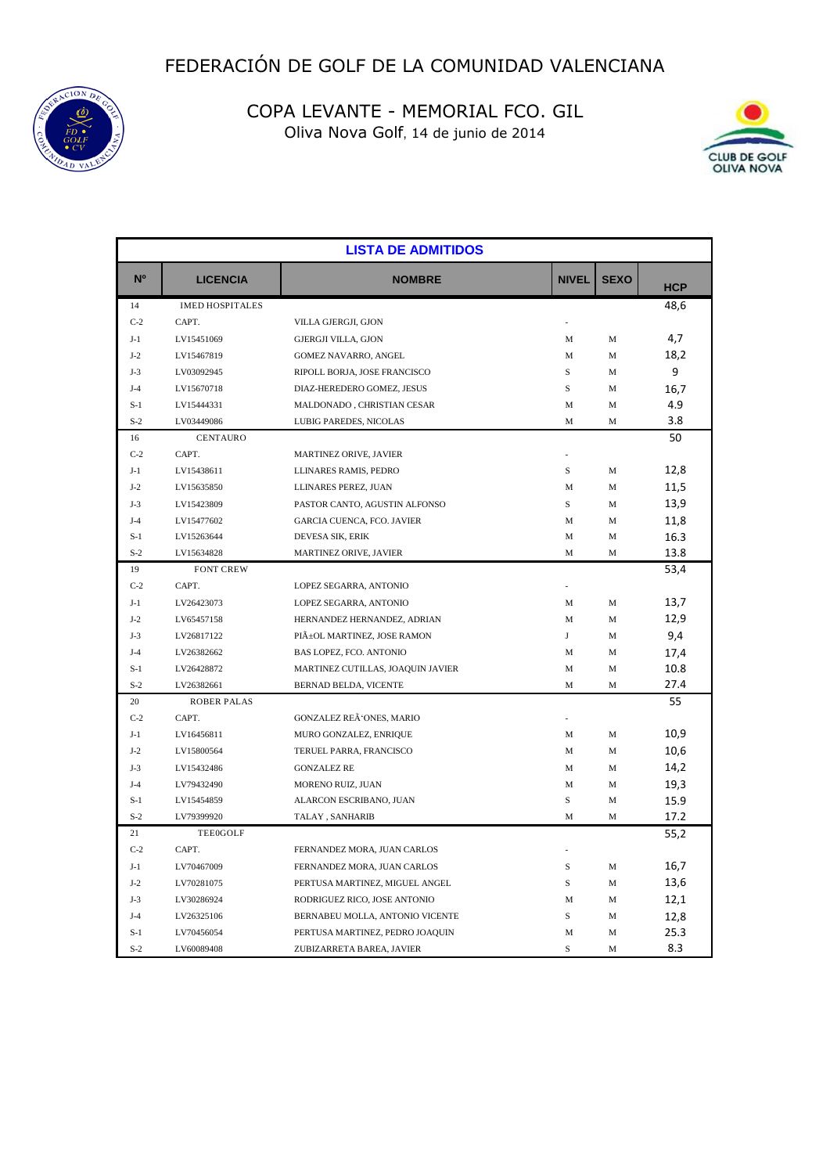



| <b>LISTA DE ADMITIDOS</b> |                        |                                   |              |             |            |
|---------------------------|------------------------|-----------------------------------|--------------|-------------|------------|
| N <sup>o</sup>            | <b>LICENCIA</b>        | <b>NOMBRE</b>                     | <b>NIVEL</b> | <b>SEXO</b> | <b>HCP</b> |
| 14                        | <b>IMED HOSPITALES</b> |                                   |              |             | 48,6       |
| $C-2$                     | CAPT.                  | VILLA GJERGJI, GJON               |              |             |            |
| $J-1$                     | LV15451069             | <b>GJERGJI VILLA, GJON</b>        | М            | M           | 4,7        |
| $J-2$                     | LV15467819             | GOMEZ NAVARRO, ANGEL              | M            | M           | 18,2       |
| $J-3$                     | LV03092945             | RIPOLL BORJA, JOSE FRANCISCO      | $\rm S$      | М           | 9          |
| $J-4$                     | LV15670718             | DIAZ-HEREDERO GOMEZ, JESUS        | $\rm S$      | M           | 16,7       |
| $S-1$                     | LV15444331             | MALDONADO, CHRISTIAN CESAR        | M            | M           | 4.9        |
| $S-2$                     | LV03449086             | LUBIG PAREDES, NICOLAS            | M            | M           | 3.8        |
| 16                        | <b>CENTAURO</b>        |                                   |              |             | 50         |
| $C-2$                     | CAPT.                  | MARTINEZ ORIVE, JAVIER            |              |             |            |
| $J-1$                     | LV15438611             | LLINARES RAMIS, PEDRO             | $\rm S$      | M           | 12,8       |
| $J-2$                     | LV15635850             | LLINARES PEREZ, JUAN              | M            | M           | 11,5       |
| $J-3$                     | LV15423809             | PASTOR CANTO, AGUSTIN ALFONSO     | S            | М           | 13,9       |
| $J-4$                     | LV15477602             | GARCIA CUENCA, FCO. JAVIER        | M            | M           | 11,8       |
| $S-1$                     | LV15263644             | DEVESA SIK, ERIK                  | М            | M           | 16.3       |
| $S-2$                     | LV15634828             | MARTINEZ ORIVE, JAVIER            | M            | М           | 13.8       |
| 19                        | <b>FONT CREW</b>       |                                   |              |             | 53,4       |
| $C-2$                     | CAPT.                  | LOPEZ SEGARRA, ANTONIO            | ä,           |             |            |
| $J-1$                     | LV26423073             | LOPEZ SEGARRA, ANTONIO            | M            | М           | 13,7       |
| $J-2$                     | LV65457158             | HERNANDEZ HERNANDEZ, ADRIAN       | M            | М           | 12,9       |
| $J-3$                     | LV26817122             | PIñOL MARTINEZ, JOSE RAMON        | J            | M           | 9,4        |
| $J-4$                     | LV26382662             | BAS LOPEZ, FCO. ANTONIO           | M            | M           | 17,4       |
| $S-1$                     | LV26428872             | MARTINEZ CUTILLAS, JOAQUIN JAVIER | M            | M           | 10.8       |
| $S-2$                     | LV26382661             | BERNAD BELDA, VICENTE             | M            | M           | 27.4       |
| 20                        | <b>ROBER PALAS</b>     |                                   |              |             | 55         |
| $C-2$                     | CAPT.                  | GONZALEZ REÃ'ONES, MARIO          |              |             |            |
| $J-1$                     | LV16456811             | MURO GONZALEZ, ENRIQUE            | M            | M           | 10,9       |
| $J-2$                     | LV15800564             | TERUEL PARRA, FRANCISCO           | M            | M           | 10,6       |
| $J-3$                     | LV15432486             | <b>GONZALEZ RE</b>                | М            | M           | 14,2       |
| $J-4$                     | LV79432490             | MORENO RUIZ, JUAN                 | M            | M           | 19,3       |
| $S-1$                     | LV15454859             | ALARCON ESCRIBANO, JUAN           | S            | M           | 15.9       |
| $S-2$                     | LV79399920             | TALAY, SANHARIB                   | M            | M           | 17.2       |
| 21                        | <b>TEE0GOLF</b>        |                                   |              |             | 55,2       |
| $C-2$                     | CAPT.                  | FERNANDEZ MORA, JUAN CARLOS       |              |             |            |
| $J-1$                     | LV70467009             | FERNANDEZ MORA, JUAN CARLOS       | S            | M           | 16,7       |
| $J-2$                     | LV70281075             | PERTUSA MARTINEZ, MIGUEL ANGEL    | S            | M           | 13,6       |
| $J-3$                     | LV30286924             | RODRIGUEZ RICO, JOSE ANTONIO      | M            | M           | 12,1       |
| $J-4$                     | LV26325106             | BERNABEU MOLLA, ANTONIO VICENTE   | S            | M           | 12,8       |
| $S-1$                     | LV70456054             | PERTUSA MARTINEZ, PEDRO JOAQUIN   | M            | M           | 25.3       |
| $S-2$                     | LV60089408             | ZUBIZARRETA BAREA, JAVIER         | S            | M           | 8.3        |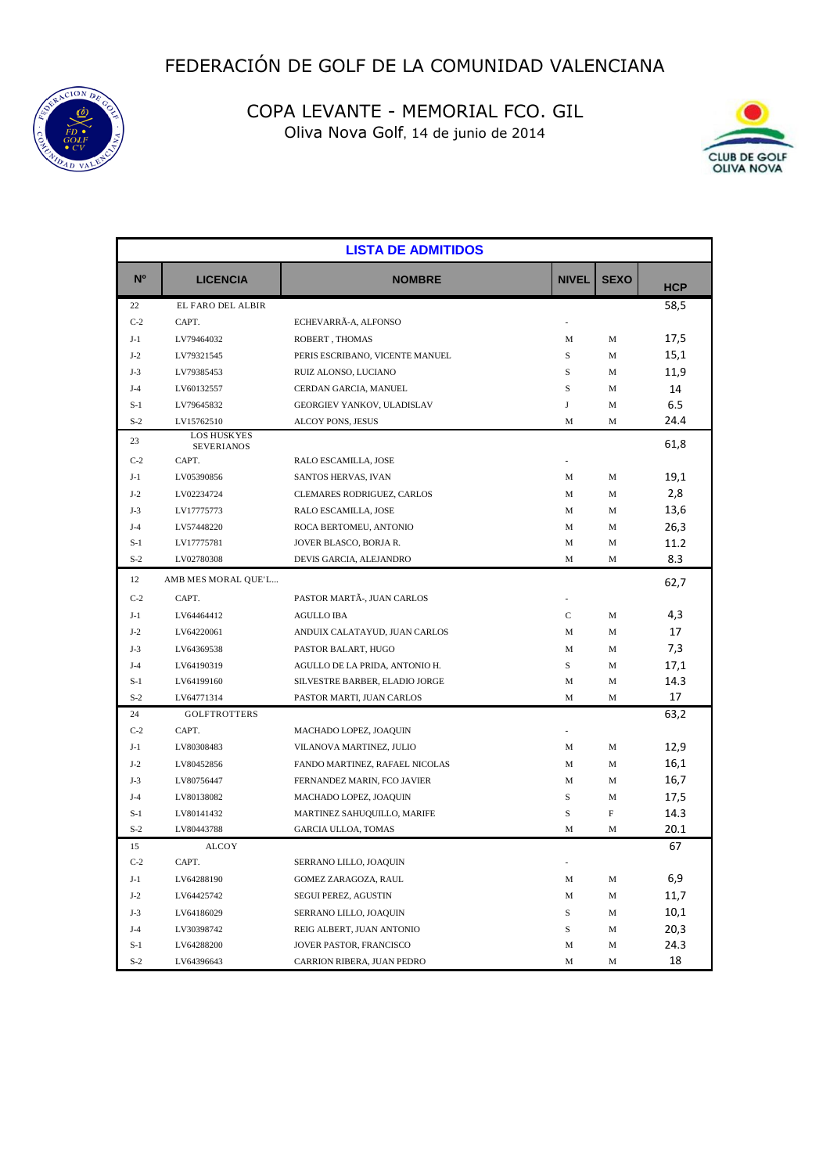



| <b>LISTA DE ADMITIDOS</b> |                                         |                                 |              |             |            |
|---------------------------|-----------------------------------------|---------------------------------|--------------|-------------|------------|
| N <sup>o</sup>            | <b>LICENCIA</b>                         | <b>NOMBRE</b>                   | <b>NIVEL</b> | <b>SEXO</b> | <b>HCP</b> |
| 22                        | EL FARO DEL ALBIR                       |                                 |              |             | 58,5       |
| $C-2$                     | CAPT.                                   | ECHEVARRÃ-A, ALFONSO            |              |             |            |
| $J-1$                     | LV79464032                              | ROBERT, THOMAS                  | М            | M           | 17,5       |
| $J-2$                     | LV79321545                              | PERIS ESCRIBANO, VICENTE MANUEL | S            | M           | 15,1       |
| $J-3$                     | LV79385453                              | RUIZ ALONSO, LUCIANO            | S            | M           | 11,9       |
| $J-4$                     | LV60132557                              | CERDAN GARCIA, MANUEL           | S            | M           | 14         |
| $S-1$                     | LV79645832                              | GEORGIEV YANKOV, ULADISLAV      | J            | M           | 6.5        |
| $S-2$                     | LV15762510                              | ALCOY PONS, JESUS               | М            | M           | 24.4       |
| 23                        | <b>LOS HUSKYES</b><br><b>SEVERIANOS</b> |                                 |              |             | 61,8       |
| $C-2$                     | CAPT.                                   | RALO ESCAMILLA, JOSE            |              |             |            |
| $J-1$                     | LV05390856                              | SANTOS HERVAS, IVAN             | M            | M           | 19,1       |
| $J-2$                     | LV02234724                              | CLEMARES RODRIGUEZ, CARLOS      | M            | M           | 2,8        |
| $J-3$                     | LV17775773                              | RALO ESCAMILLA, JOSE            | M            | M           | 13,6       |
| $J-4$                     | LV57448220                              | ROCA BERTOMEU, ANTONIO          | М            | M           | 26,3       |
| $S-1$                     | LV17775781                              | JOVER BLASCO, BORJA R.          | М            | M           | 11.2       |
| $S-2$                     | LV02780308                              | DEVIS GARCIA, ALEJANDRO         | М            | M           | 8.3        |
| 12                        | AMB MES MORAL QUE'L                     |                                 |              |             | 62,7       |
| $C-2$                     | CAPT.                                   | PASTOR MARTÃ-, JUAN CARLOS      | ÷,           |             |            |
| $J-1$                     | LV64464412                              | AGULLO IBA                      | C            | M           | 4,3        |
| $J-2$                     | LV64220061                              | ANDUIX CALATAYUD, JUAN CARLOS   | М            | M           | 17         |
| $J-3$                     | LV64369538                              | PASTOR BALART, HUGO             | М            | M           | 7,3        |
| $J-4$                     | LV64190319                              | AGULLO DE LA PRIDA, ANTONIO H.  | S            | M           | 17,1       |
| $S-1$                     | LV64199160                              | SILVESTRE BARBER, ELADIO JORGE  | М            | M           | 14.3       |
| $S-2$                     | LV64771314                              | PASTOR MARTI, JUAN CARLOS       | М            | M           | 17         |
| 24                        | <b>GOLFTROTTERS</b>                     |                                 |              |             | 63,2       |
| $C-2$                     | CAPT.                                   | MACHADO LOPEZ, JOAQUIN          |              |             |            |
| $J-1$                     | LV80308483                              | VILANOVA MARTINEZ, JULIO        | М            | M           | 12,9       |
| $J-2$                     | LV80452856                              | FANDO MARTINEZ, RAFAEL NICOLAS  | М            | M           | 16,1       |
| $J-3$                     | LV80756447                              | FERNANDEZ MARIN, FCO JAVIER     | М            | M           | 16,7       |
| $J-4$                     | LV80138082                              | MACHADO LOPEZ, JOAQUIN          | S            | M           | 17,5       |
| $S-1$                     | LV80141432                              | MARTINEZ SAHUQUILLO, MARIFE     | S            | F           | 14.3       |
| $S-2$                     | LV80443788                              | GARCIA ULLOA, TOMAS             | M            | M           | 20.1       |
| 15                        | <b>ALCOY</b>                            |                                 |              |             | 67         |
| $C-2$                     | CAPT.                                   | SERRANO LILLO, JOAQUIN          |              |             |            |
| $J-1$                     | LV64288190                              | GOMEZ ZARAGOZA, RAUL            | М            | М           | 6,9        |
| $J-2$                     | LV64425742                              | SEGUI PEREZ, AGUSTIN            | М            | M           | 11,7       |
| $J-3$                     | LV64186029                              | SERRANO LILLO, JOAQUIN          | S            | M           | 10,1       |
| $J-4$                     | LV30398742                              | REIG ALBERT, JUAN ANTONIO       | S            | M           | 20,3       |
| $S-1$                     | LV64288200                              | JOVER PASTOR, FRANCISCO         | М            | M           | 24.3       |
| $S-2$                     | LV64396643                              | CARRION RIBERA, JUAN PEDRO      | М            | M           | 18         |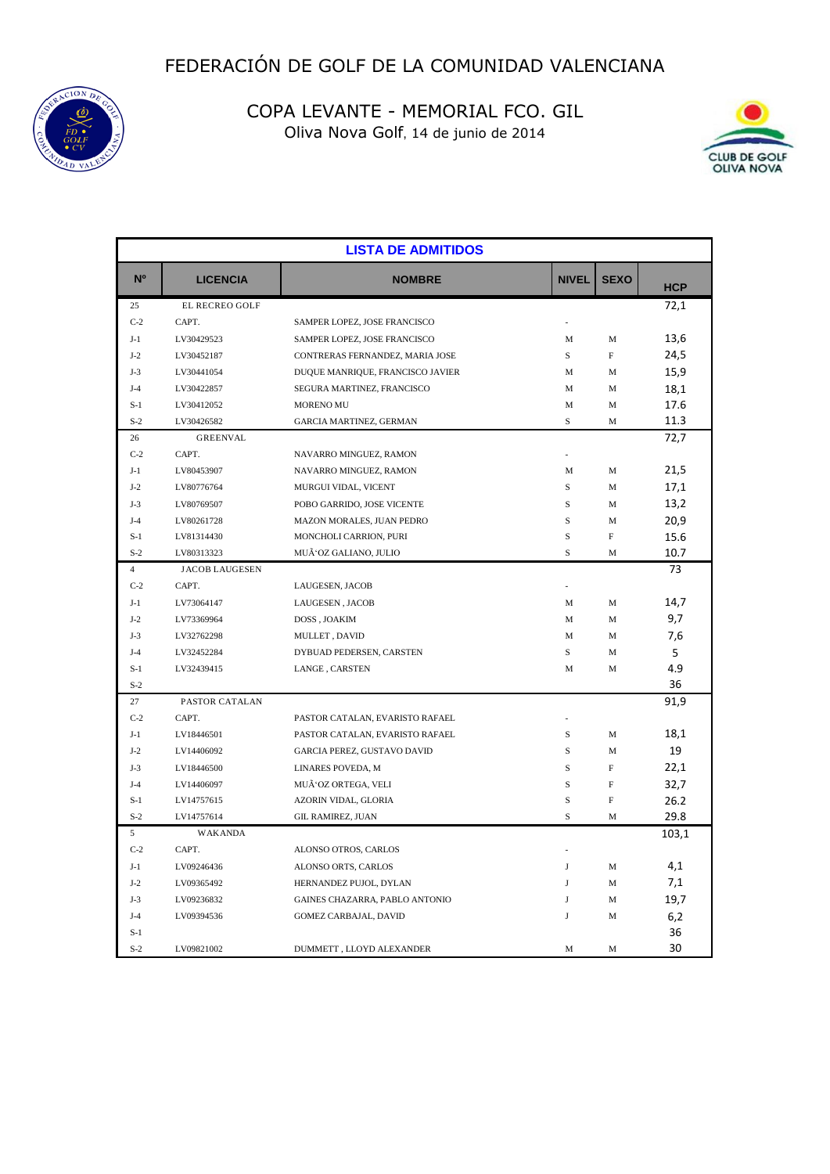



| <b>LISTA DE ADMITIDOS</b> |                       |                                  |              |             |            |
|---------------------------|-----------------------|----------------------------------|--------------|-------------|------------|
| N <sup>o</sup>            | <b>LICENCIA</b>       | <b>NOMBRE</b>                    | <b>NIVEL</b> | <b>SEXO</b> | <b>HCP</b> |
| 25                        | <b>EL RECREO GOLF</b> |                                  |              |             | 72,1       |
| $C-2$                     | CAPT.                 | SAMPER LOPEZ, JOSE FRANCISCO     |              |             |            |
| $J-1$                     | LV30429523            | SAMPER LOPEZ, JOSE FRANCISCO     | M            | M           | 13,6       |
| $J-2$                     | LV30452187            | CONTRERAS FERNANDEZ, MARIA JOSE  | S            | F           | 24,5       |
| $J-3$                     | LV30441054            | DUQUE MANRIQUE, FRANCISCO JAVIER | M            | M           | 15,9       |
| $J-4$                     | LV30422857            | SEGURA MARTINEZ, FRANCISCO       | M            | M           | 18,1       |
| $S-1$                     | LV30412052            | <b>MORENO MU</b>                 | M            | M           | 17.6       |
| $S-2$                     | LV30426582            | GARCIA MARTINEZ, GERMAN          | $\mathbf S$  | M           | 11.3       |
| 26                        | <b>GREENVAL</b>       |                                  |              |             | 72,7       |
| $C-2$                     | CAPT.                 | NAVARRO MINGUEZ, RAMON           |              |             |            |
| $J-1$                     | LV80453907            | NAVARRO MINGUEZ, RAMON           | M            | M           | 21,5       |
| $J-2$                     | LV80776764            | MURGUI VIDAL, VICENT             | S            | M           | 17,1       |
| $J-3$                     | LV80769507            | POBO GARRIDO, JOSE VICENTE       | S            | M           | 13,2       |
| $J-4$                     | LV80261728            | MAZON MORALES, JUAN PEDRO        | S            | M           | 20,9       |
| $S-1$                     | LV81314430            | MONCHOLI CARRION, PURI           | S            | $_{\rm F}$  | 15.6       |
| $S-2$                     | LV80313323            | MUÑOZ GALIANO, JULIO             | S            | M           | 10.7       |
| $\overline{4}$            | <b>JACOB LAUGESEN</b> |                                  |              |             | 73         |
| $C-2$                     | CAPT.                 | LAUGESEN, JACOB                  |              |             |            |
| $J-1$                     | LV73064147            | LAUGESEN, JACOB                  | M            | M           | 14,7       |
| $J-2$                     | LV73369964            | DOSS, JOAKIM                     | M            | М           | 9,7        |
| $J-3$                     | LV32762298            | MULLET, DAVID                    | M            | M           | 7,6        |
| $J-4$                     | LV32452284            | DYBUAD PEDERSEN, CARSTEN         | S            | M           | 5          |
| $S-1$                     | LV32439415            | LANGE, CARSTEN                   | M            | M           | 4.9        |
| $S-2$                     |                       |                                  |              |             | 36         |
| 27                        | PASTOR CATALAN        |                                  |              |             | 91,9       |
| $C-2$                     | CAPT.                 | PASTOR CATALAN, EVARISTO RAFAEL  |              |             |            |
| $J-1$                     | LV18446501            | PASTOR CATALAN, EVARISTO RAFAEL  | S            | M           | 18,1       |
| $J-2$                     | LV14406092            | GARCIA PEREZ, GUSTAVO DAVID      | S            | M           | 19         |
| $J-3$                     | LV18446500            | LINARES POVEDA, M                | S            | F           | 22,1       |
| $J-4$                     | LV14406097            | MUÃ'OZ ORTEGA, VELI              | S            | F           | 32,7       |
| $S-1$                     | LV14757615            | AZORIN VIDAL, GLORIA             | $\rm S$      | F           | 26.2       |
| $S-2$                     | LV14757614            | <b>GIL RAMIREZ, JUAN</b>         | S            | M           | 29.8       |
| 5                         | <b>WAKANDA</b>        |                                  |              |             | 103,1      |
| $C-2$                     | CAPT.                 | ALONSO OTROS, CARLOS             |              |             |            |
| $J-1$                     | LV09246436            | ALONSO ORTS, CARLOS              | J            | M           | 4,1        |
| $J-2$                     | LV09365492            | HERNANDEZ PUJOL, DYLAN           | J            | M           | 7,1        |
| $J-3$                     | LV09236832            | GAINES CHAZARRA, PABLO ANTONIO   | J            | M           | 19,7       |
| $J-4$                     | LV09394536            | GOMEZ CARBAJAL, DAVID            | J            | M           | 6,2        |
| $S-1$                     |                       |                                  |              |             | 36         |
| $S-2$                     | LV09821002            | DUMMETT, LLOYD ALEXANDER         | M            | M           | 30         |